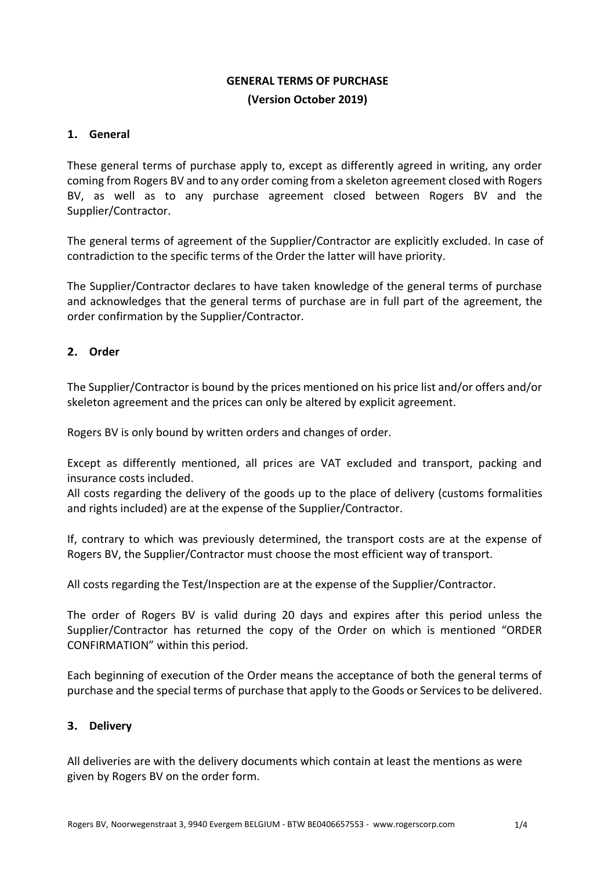# **GENERAL TERMS OF PURCHASE (Version October 2019)**

#### **1. General**

These general terms of purchase apply to, except as differently agreed in writing, any order coming from Rogers BV and to any order coming from a skeleton agreement closed with Rogers BV, as well as to any purchase agreement closed between Rogers BV and the Supplier/Contractor.

The general terms of agreement of the Supplier/Contractor are explicitly excluded. In case of contradiction to the specific terms of the Order the latter will have priority.

The Supplier/Contractor declares to have taken knowledge of the general terms of purchase and acknowledges that the general terms of purchase are in full part of the agreement, the order confirmation by the Supplier/Contractor.

## **2. Order**

The Supplier/Contractor is bound by the prices mentioned on his price list and/or offers and/or skeleton agreement and the prices can only be altered by explicit agreement.

Rogers BV is only bound by written orders and changes of order.

Except as differently mentioned, all prices are VAT excluded and transport, packing and insurance costs included.

All costs regarding the delivery of the goods up to the place of delivery (customs formalities and rights included) are at the expense of the Supplier/Contractor.

If, contrary to which was previously determined, the transport costs are at the expense of Rogers BV, the Supplier/Contractor must choose the most efficient way of transport.

All costs regarding the Test/Inspection are at the expense of the Supplier/Contractor.

The order of Rogers BV is valid during 20 days and expires after this period unless the Supplier/Contractor has returned the copy of the Order on which is mentioned "ORDER CONFIRMATION" within this period.

Each beginning of execution of the Order means the acceptance of both the general terms of purchase and the special terms of purchase that apply to the Goods or Services to be delivered.

#### **3. Delivery**

All deliveries are with the delivery documents which contain at least the mentions as were given by Rogers BV on the order form.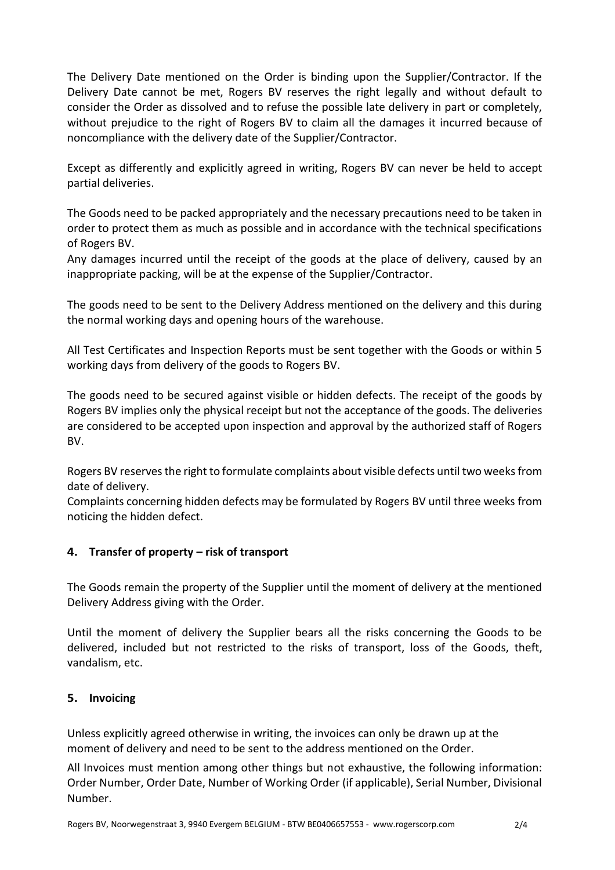The Delivery Date mentioned on the Order is binding upon the Supplier/Contractor. If the Delivery Date cannot be met, Rogers BV reserves the right legally and without default to consider the Order as dissolved and to refuse the possible late delivery in part or completely, without prejudice to the right of Rogers BV to claim all the damages it incurred because of noncompliance with the delivery date of the Supplier/Contractor.

Except as differently and explicitly agreed in writing, Rogers BV can never be held to accept partial deliveries.

The Goods need to be packed appropriately and the necessary precautions need to be taken in order to protect them as much as possible and in accordance with the technical specifications of Rogers BV.

Any damages incurred until the receipt of the goods at the place of delivery, caused by an inappropriate packing, will be at the expense of the Supplier/Contractor.

The goods need to be sent to the Delivery Address mentioned on the delivery and this during the normal working days and opening hours of the warehouse.

All Test Certificates and Inspection Reports must be sent together with the Goods or within 5 working days from delivery of the goods to Rogers BV.

The goods need to be secured against visible or hidden defects. The receipt of the goods by Rogers BV implies only the physical receipt but not the acceptance of the goods. The deliveries are considered to be accepted upon inspection and approval by the authorized staff of Rogers BV.

Rogers BV reserves the right to formulate complaints about visible defects until two weeks from date of delivery.

Complaints concerning hidden defects may be formulated by Rogers BV until three weeks from noticing the hidden defect.

## **4. Transfer of property – risk of transport**

The Goods remain the property of the Supplier until the moment of delivery at the mentioned Delivery Address giving with the Order.

Until the moment of delivery the Supplier bears all the risks concerning the Goods to be delivered, included but not restricted to the risks of transport, loss of the Goods, theft, vandalism, etc.

#### **5. Invoicing**

Unless explicitly agreed otherwise in writing, the invoices can only be drawn up at the moment of delivery and need to be sent to the address mentioned on the Order.

All Invoices must mention among other things but not exhaustive, the following information: Order Number, Order Date, Number of Working Order (if applicable), Serial Number, Divisional Number.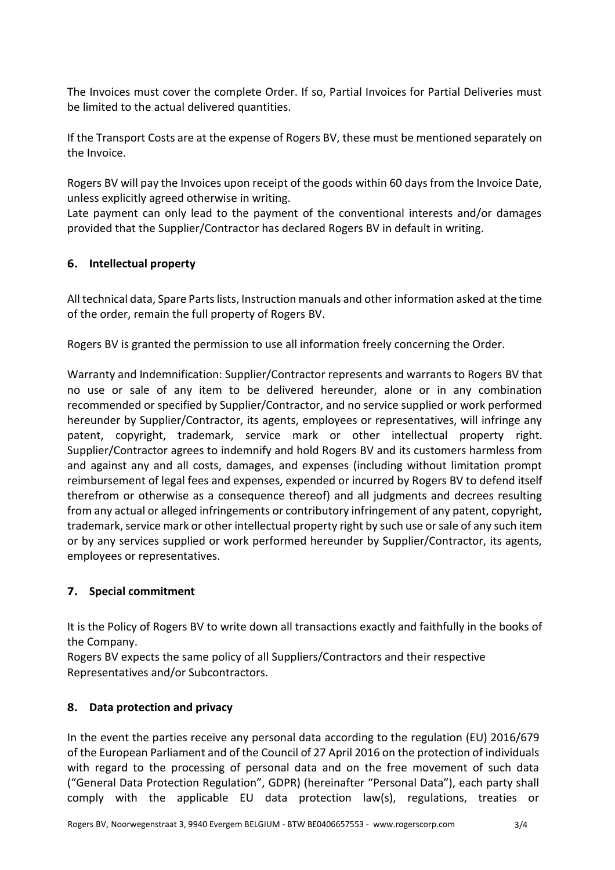The Invoices must cover the complete Order. If so, Partial Invoices for Partial Deliveries must be limited to the actual delivered quantities.

If the Transport Costs are at the expense of Rogers BV, these must be mentioned separately on the Invoice.

Rogers BV will pay the Invoices upon receipt of the goods within 60 days from the Invoice Date, unless explicitly agreed otherwise in writing.

Late payment can only lead to the payment of the conventional interests and/or damages provided that the Supplier/Contractor has declared Rogers BV in default in writing.

## **6. Intellectual property**

All technical data, Spare Parts lists, Instruction manuals and other information asked at the time of the order, remain the full property of Rogers BV.

Rogers BV is granted the permission to use all information freely concerning the Order.

Warranty and Indemnification: Supplier/Contractor represents and warrants to Rogers BV that no use or sale of any item to be delivered hereunder, alone or in any combination recommended or specified by Supplier/Contractor, and no service supplied or work performed hereunder by Supplier/Contractor, its agents, employees or representatives, will infringe any patent, copyright, trademark, service mark or other intellectual property right. Supplier/Contractor agrees to indemnify and hold Rogers BV and its customers harmless from and against any and all costs, damages, and expenses (including without limitation prompt reimbursement of legal fees and expenses, expended or incurred by Rogers BV to defend itself therefrom or otherwise as a consequence thereof) and all judgments and decrees resulting from any actual or alleged infringements or contributory infringement of any patent, copyright, trademark, service mark or other intellectual property right by such use or sale of any such item or by any services supplied or work performed hereunder by Supplier/Contractor, its agents, employees or representatives.

## **7. Special commitment**

It is the Policy of Rogers BV to write down all transactions exactly and faithfully in the books of the Company.

Rogers BV expects the same policy of all Suppliers/Contractors and their respective Representatives and/or Subcontractors.

## **8. Data protection and privacy**

In the event the parties receive any personal data according to the regulation (EU) 2016/679 of the European Parliament and of the Council of 27 April 2016 on the protection of individuals with regard to the processing of personal data and on the free movement of such data ("General Data Protection Regulation", GDPR) (hereinafter "Personal Data"), each party shall comply with the applicable EU data protection law(s), regulations, treaties or